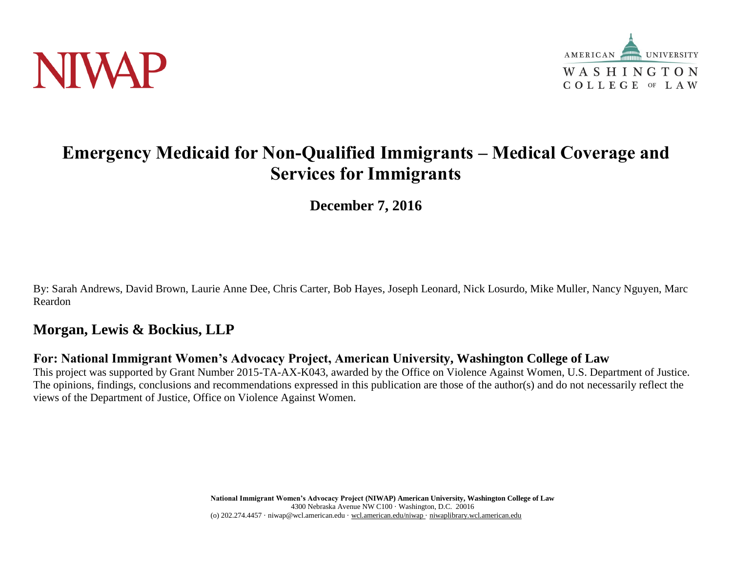



# **Emergency Medicaid for Non-Qualified Immigrants – Medical Coverage and Services for Immigrants**

**December 7, 2016**

By: Sarah Andrews, David Brown, Laurie Anne Dee, Chris Carter, Bob Hayes, Joseph Leonard, Nick Losurdo, Mike Muller, Nancy Nguyen, Marc Reardon

## **Morgan, Lewis & Bockius, LLP**

### **For: National Immigrant Women's Advocacy Project, American University, Washington College of Law**

This project was supported by Grant Number 2015-TA-AX-K043, awarded by the Office on Violence Against Women, U.S. Department of Justice. The opinions, findings, conclusions and recommendations expressed in this publication are those of the author(s) and do not necessarily reflect the views of the Department of Justice, Office on Violence Against Women.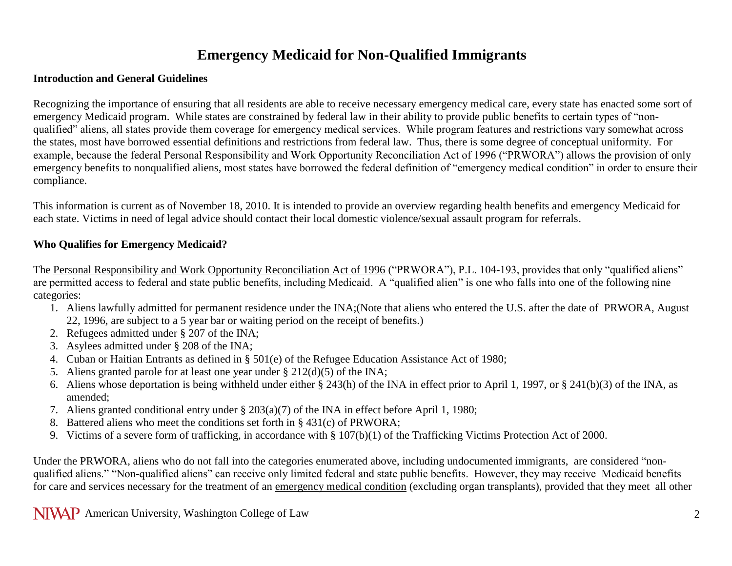# **Emergency Medicaid for Non-Qualified Immigrants**

#### **Introduction and General Guidelines**

Recognizing the importance of ensuring that all residents are able to receive necessary emergency medical care, every state has enacted some sort of emergency Medicaid program. While states are constrained by federal law in their ability to provide public benefits to certain types of "nonqualified" aliens, all states provide them coverage for emergency medical services. While program features and restrictions vary somewhat across the states, most have borrowed essential definitions and restrictions from federal law. Thus, there is some degree of conceptual uniformity. For example, because the federal Personal Responsibility and Work Opportunity Reconciliation Act of 1996 ("PRWORA") allows the provision of only emergency benefits to nonqualified aliens, most states have borrowed the federal definition of "emergency medical condition" in order to ensure their compliance.

This information is current as of November 18, 2010. It is intended to provide an overview regarding health benefits and emergency Medicaid for each state. Victims in need of legal advice should contact their local domestic violence/sexual assault program for referrals.

#### **Who Qualifies for Emergency Medicaid?**

The Personal Responsibility and Work Opportunity Reconciliation Act of 1996 ("PRWORA"), P.L. 104-193, provides that only "qualified aliens" are permitted access to federal and state public benefits, including Medicaid. A "qualified alien" is one who falls into one of the following nine categories:

- 1. Aliens lawfully admitted for permanent residence under the INA;(Note that aliens who entered the U.S. after the date of PRWORA, August 22, 1996, are subject to a 5 year bar or waiting period on the receipt of benefits.)
- 2. Refugees admitted under § 207 of the INA;
- 3. Asylees admitted under § 208 of the INA;
- 4. Cuban or Haitian Entrants as defined in § 501(e) of the Refugee Education Assistance Act of 1980;
- 5. Aliens granted parole for at least one year under § 212(d)(5) of the INA;
- 6. Aliens whose deportation is being withheld under either § 243(h) of the INA in effect prior to April 1, 1997, or § 241(b)(3) of the INA, as amended;
- 7. Aliens granted conditional entry under § 203(a)(7) of the INA in effect before April 1, 1980;
- 8. Battered aliens who meet the conditions set forth in § 431(c) of PRWORA;
- 9. Victims of a severe form of trafficking, in accordance with § 107(b)(1) of the Trafficking Victims Protection Act of 2000.

Under the PRWORA, aliens who do not fall into the categories enumerated above, including undocumented immigrants, are considered "nonqualified aliens." "Non-qualified aliens" can receive only limited federal and state public benefits. However, they may receive Medicaid benefits for care and services necessary for the treatment of an emergency medical condition (excluding organ transplants), provided that they meet all other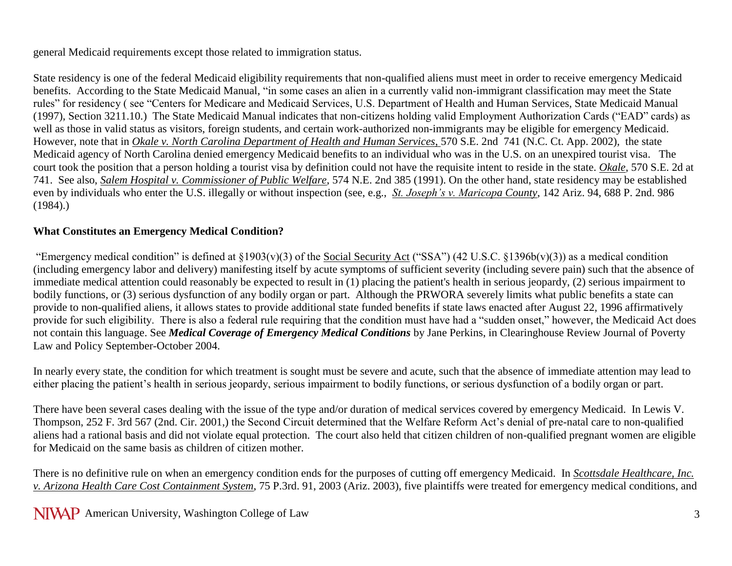general Medicaid requirements except those related to immigration status.

State residency is one of the federal Medicaid eligibility requirements that non-qualified aliens must meet in order to receive emergency Medicaid benefits. According to the State Medicaid Manual, "in some cases an alien in a currently valid non-immigrant classification may meet the State rules" for residency ( see "Centers for Medicare and Medicaid Services, U.S. Department of Health and Human Services, State Medicaid Manual (1997), Section 3211.10.) The State Medicaid Manual indicates that non-citizens holding valid Employment Authorization Cards ("EAD" cards) as well as those in valid status as visitors, foreign students, and certain work-authorized non-immigrants may be eligible for emergency Medicaid. However, note that in *Okale v. North Carolina Department of Health and Human Services*, 570 S.E. 2nd 741 (N.C. Ct. App. 2002), the state Medicaid agency of North Carolina denied emergency Medicaid benefits to an individual who was in the U.S. on an unexpired tourist visa. The court took the position that a person holding a tourist visa by definition could not have the requisite intent to reside in the state. *Okale*, 570 S.E. 2d at 741. See also, *Salem Hospital v. Commissioner of Public Welfare*, 574 N.E. 2nd 385 (1991). On the other hand, state residency may be established even by individuals who enter the U.S. illegally or without inspection (see, e.g., *St. Joseph's v. Maricopa County*, 142 Ariz. 94, 688 P. 2nd. 986 (1984).)

#### **What Constitutes an Emergency Medical Condition?**

"Emergency medical condition" is defined at  $\S1903(v)(3)$  of the Social Security Act ("SSA") (42 U.S.C.  $\S1396b(v)(3)$ ) as a medical condition (including emergency labor and delivery) manifesting itself by acute symptoms of sufficient severity (including severe pain) such that the absence of immediate medical attention could reasonably be expected to result in (1) placing the patient's health in serious jeopardy, (2) serious impairment to bodily functions, or (3) serious dysfunction of any bodily organ or part. Although the PRWORA severely limits what public benefits a state can provide to non-qualified aliens, it allows states to provide additional state funded benefits if state laws enacted after August 22, 1996 affirmatively provide for such eligibility. There is also a federal rule requiring that the condition must have had a "sudden onset," however, the Medicaid Act does not contain this language. See *Medical Coverage of Emergency Medical Conditions* by Jane Perkins, in Clearinghouse Review Journal of Poverty Law and Policy September-October 2004.

In nearly every state, the condition for which treatment is sought must be severe and acute, such that the absence of immediate attention may lead to either placing the patient's health in serious jeopardy, serious impairment to bodily functions, or serious dysfunction of a bodily organ or part.

There have been several cases dealing with the issue of the type and/or duration of medical services covered by emergency Medicaid. In Lewis V. Thompson, 252 F. 3rd 567 (2nd. Cir. 2001,) the Second Circuit determined that the Welfare Reform Act's denial of pre-natal care to non-qualified aliens had a rational basis and did not violate equal protection. The court also held that citizen children of non-qualified pregnant women are eligible for Medicaid on the same basis as children of citizen mother.

There is no definitive rule on when an emergency condition ends for the purposes of cutting off emergency Medicaid. In *Scottsdale Healthcare, Inc. v. Arizona Health Care Cost Containment System*, 75 P.3rd. 91, 2003 (Ariz. 2003), five plaintiffs were treated for emergency medical conditions, and

NIVAP American University, Washington College of Law 3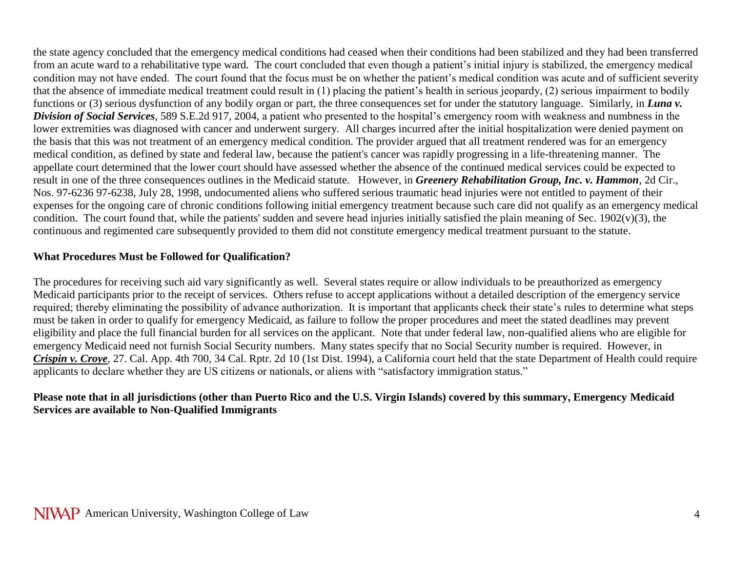the state agency concluded that the emergency medical conditions had ceased when their conditions had been stabilized and they had been transferred from an acute ward to a rehabilitative type ward. The court concluded that even though a patient's initial injury is stabilized, the emergency medical condition may not have ended. The court found that the focus must be on whether the patient's medical condition was acute and of sufficient severity that the absence of immediate medical treatment could result in (1) placing the patient's health in serious jeopardy, (2) serious impairment to bodily functions or (3) serious dysfunction of any bodily organ or part, the three consequences set for under the statutory language. Similarly, in *Luna v. Division of Social Services*, 589 S.E.2d 917, 2004, a patient who presented to the hospital's emergency room with weakness and numbness in the lower extremities was diagnosed with cancer and underwent surgery. All charges incurred after the initial hospitalization were denied payment on the basis that this was not treatment of an emergency medical condition. The provider argued that all treatment rendered was for an emergency medical condition, as defined by state and federal law, because the patient's cancer was rapidly progressing in a life-threatening manner. The appellate court determined that the lower court should have assessed whether the absence of the continued medical services could be expected to result in one of the three consequences outlines in the Medicaid statute. However, in *Greenery Rehabilitation Group, Inc. v. Hammon*, 2d Cir., Nos. 97-6236 97-6238, July 28, 1998, undocumented aliens who suffered serious traumatic head injuries were not entitled to payment of their expenses for the ongoing care of chronic conditions following initial emergency treatment because such care did not qualify as an emergency medical condition. The court found that, while the patients' sudden and severe head injuries initially satisfied the plain meaning of Sec.  $1902(v)(3)$ , the continuous and regimented care subsequently provided to them did not constitute emergency medical treatment pursuant to the statute.

### **What Procedures Must be Followed for Qualification?**

The procedures for receiving such aid vary significantly as well. Several states require or allow individuals to be preauthorized as emergency Medicaid participants prior to the receipt of services. Others refuse to accept applications without a detailed description of the emergency service required; thereby eliminating the possibility of advance authorization. It is important that applicants check their state's rules to determine what steps must be taken in order to qualify for emergency Medicaid, as failure to follow the proper procedures and meet the stated deadlines may prevent eligibility and place the full financial burden for all services on the applicant. Note that under federal law, non-qualified aliens who are eligible for emergency Medicaid need not furnish Social Security numbers. Many states specify that no Social Security number is required. However, in *Crispin v. Croye*, 27. Cal. App. 4th 700, 34 Cal. Rptr. 2d 10 (1st Dist. 1994), a California court held that the state Department of Health could require applicants to declare whether they are US citizens or nationals, or aliens with "satisfactory immigration status."

#### **Please note that in all jurisdictions (other than Puerto Rico and the U.S. Virgin Islands) covered by this summary, Emergency Medicaid Services are available to Non-Qualified Immigrants**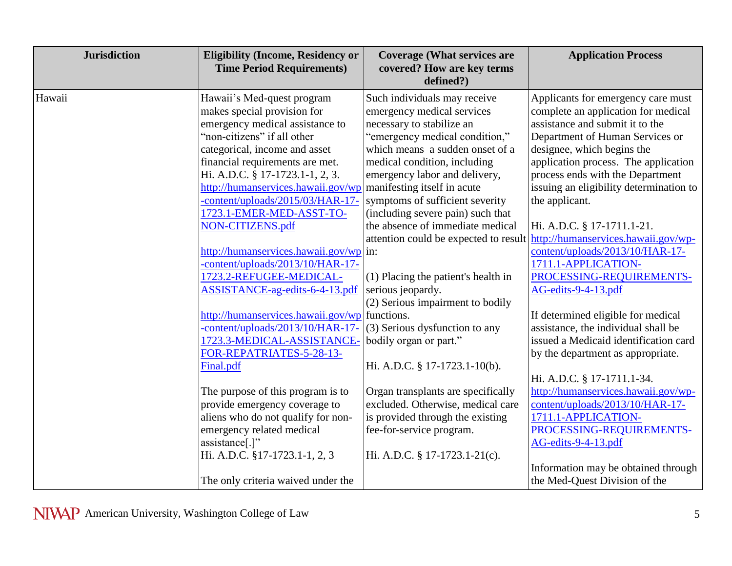| <b>Jurisdiction</b> | <b>Eligibility (Income, Residency or</b><br><b>Time Period Requirements)</b>                                                                                                                                                                                                                                                                                                                                                                                                                                                                                                                                                                                                                                                                                                                                                                                                                                                                  | <b>Coverage (What services are</b><br>covered? How are key terms<br>defined?)                                                                                                                                                                                                                                                                                                                                                                                                                                                                                                                                                                                                                                                                                 | <b>Application Process</b>                                                                                                                                                                                                                                                                                                                                                                                                                                                                                                                                                                                                                                                                                                                                                                                                                                                                                                    |
|---------------------|-----------------------------------------------------------------------------------------------------------------------------------------------------------------------------------------------------------------------------------------------------------------------------------------------------------------------------------------------------------------------------------------------------------------------------------------------------------------------------------------------------------------------------------------------------------------------------------------------------------------------------------------------------------------------------------------------------------------------------------------------------------------------------------------------------------------------------------------------------------------------------------------------------------------------------------------------|---------------------------------------------------------------------------------------------------------------------------------------------------------------------------------------------------------------------------------------------------------------------------------------------------------------------------------------------------------------------------------------------------------------------------------------------------------------------------------------------------------------------------------------------------------------------------------------------------------------------------------------------------------------------------------------------------------------------------------------------------------------|-------------------------------------------------------------------------------------------------------------------------------------------------------------------------------------------------------------------------------------------------------------------------------------------------------------------------------------------------------------------------------------------------------------------------------------------------------------------------------------------------------------------------------------------------------------------------------------------------------------------------------------------------------------------------------------------------------------------------------------------------------------------------------------------------------------------------------------------------------------------------------------------------------------------------------|
| Hawaii              | Hawaii's Med-quest program<br>makes special provision for<br>emergency medical assistance to<br>'non-citizens' if all other<br>categorical, income and asset<br>financial requirements are met.<br>Hi. A.D.C. § 17-1723.1-1, 2, 3.<br>http://humanservices.hawaii.gov/wp manifesting itself in acute<br>-content/uploads/2015/03/HAR-17-<br>1723.1-EMER-MED-ASST-TO-<br>NON-CITIZENS.pdf<br>http://humanservices.hawaii.gov/wp in:<br>-content/uploads/2013/10/HAR-17-<br>1723.2-REFUGEE-MEDICAL-<br>ASSISTANCE-ag-edits-6-4-13.pdf<br>http://humanservices.hawaii.gov/wp functions.<br>-content/uploads/2013/10/HAR-17-<br>1723.3-MEDICAL-ASSISTANCE-<br>FOR-REPATRIATES-5-28-13-<br>Final.pdf<br>The purpose of this program is to<br>provide emergency coverage to<br>aliens who do not qualify for non-<br>emergency related medical<br>assistance <sup>[.]"</sup><br>Hi. A.D.C. §17-1723.1-1, 2, 3<br>The only criteria waived under the | Such individuals may receive<br>emergency medical services<br>necessary to stabilize an<br>"emergency medical condition,"<br>which means a sudden onset of a<br>medical condition, including<br>emergency labor and delivery,<br>symptoms of sufficient severity<br>(including severe pain) such that<br>the absence of immediate medical<br>attention could be expected to result<br>$(1)$ Placing the patient's health in<br>serious jeopardy.<br>(2) Serious impairment to bodily<br>(3) Serious dysfunction to any<br>bodily organ or part."<br>Hi. A.D.C. § 17-1723.1-10(b).<br>Organ transplants are specifically<br>excluded. Otherwise, medical care<br>is provided through the existing<br>fee-for-service program.<br>Hi. A.D.C. § 17-1723.1-21(c). | Applicants for emergency care must<br>complete an application for medical<br>assistance and submit it to the<br>Department of Human Services or<br>designee, which begins the<br>application process. The application<br>process ends with the Department<br>issuing an eligibility determination to<br>the applicant.<br>Hi. A.D.C. § 17-1711.1-21.<br>http://humanservices.hawaii.gov/wp-<br>content/uploads/2013/10/HAR-17-<br>1711.1-APPLICATION-<br>PROCESSING-REQUIREMENTS-<br>AG-edits-9-4-13.pdf<br>If determined eligible for medical<br>assistance, the individual shall be<br>issued a Medicaid identification card<br>by the department as appropriate.<br>Hi. A.D.C. § 17-1711.1-34.<br>http://humanservices.hawaii.gov/wp-<br>content/uploads/2013/10/HAR-17-<br>1711.1-APPLICATION-<br>PROCESSING-REQUIREMENTS-<br>AG-edits-9-4-13.pdf<br>Information may be obtained through<br>the Med-Quest Division of the |
|                     |                                                                                                                                                                                                                                                                                                                                                                                                                                                                                                                                                                                                                                                                                                                                                                                                                                                                                                                                               |                                                                                                                                                                                                                                                                                                                                                                                                                                                                                                                                                                                                                                                                                                                                                               |                                                                                                                                                                                                                                                                                                                                                                                                                                                                                                                                                                                                                                                                                                                                                                                                                                                                                                                               |